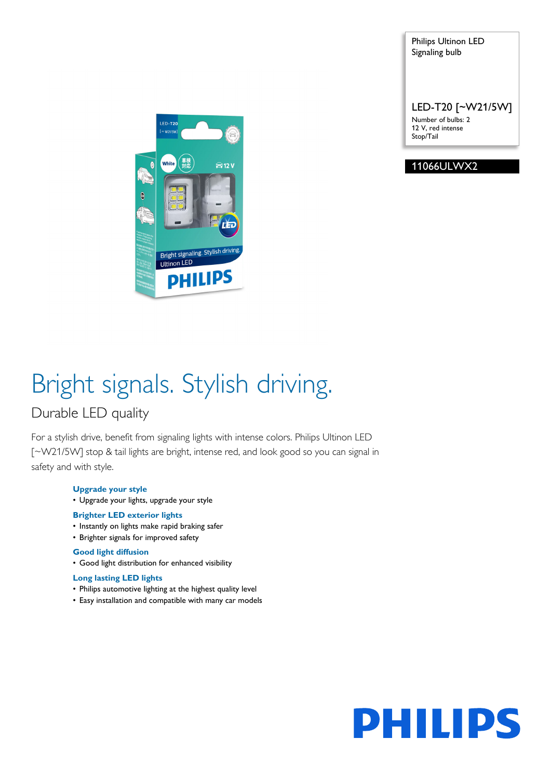Philips Ultinon LED Signaling bulb

LED-T20 [~W21/5W] Number of bulbs: 2 12 V, red intense Stop/Tail





# Bright signals. Stylish driving.

### Durable LED quality

For a stylish drive, benefit from signaling lights with intense colors. Philips Ultinon LED [~W21/5W] stop & tail lights are bright, intense red, and look good so you can signal in safety and with style.

#### **Upgrade your style**

• Upgrade your lights, upgrade your style

#### **Brighter LED exterior lights**

- Instantly on lights make rapid braking safer
- Brighter signals for improved safety

### **Good light diffusion**

• Good light distribution for enhanced visibility

#### **Long lasting LED lights**

- Philips automotive lighting at the highest quality level
- Easy installation and compatible with many car models